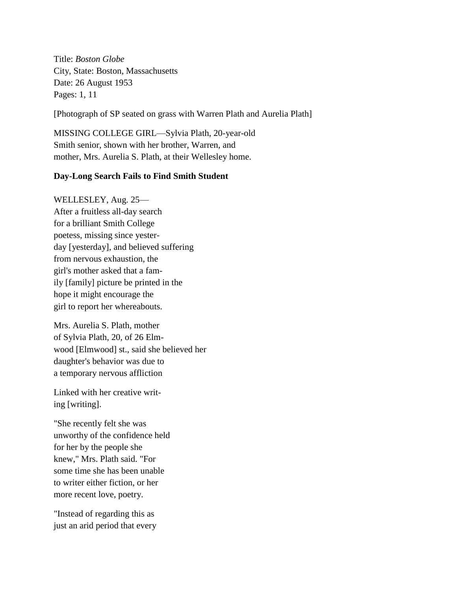Title: *Boston Globe* City, State: Boston, Massachusetts Date: 26 August 1953 Pages: 1, 11

[Photograph of SP seated on grass with Warren Plath and Aurelia Plath]

MISSING COLLEGE GIRL—Sylvia Plath, 20-year-old Smith senior, shown with her brother, Warren, and mother, Mrs. Aurelia S. Plath, at their Wellesley home.

## **Day-Long Search Fails to Find Smith Student**

WELLESLEY, Aug. 25— After a fruitless all-day search for a brilliant Smith College poetess, missing since yesterday [yesterday], and believed suffering from nervous exhaustion, the girl's mother asked that a family [family] picture be printed in the hope it might encourage the girl to report her whereabouts.

Mrs. Aurelia S. Plath, mother of Sylvia Plath, 20, of 26 Elmwood [Elmwood] st., said she believed her daughter's behavior was due to a temporary nervous affliction

Linked with her creative writing [writing].

"She recently felt she was unworthy of the confidence held for her by the people she knew," Mrs. Plath said. "For some time she has been unable to writer either fiction, or her more recent love, poetry.

"Instead of regarding this as just an arid period that every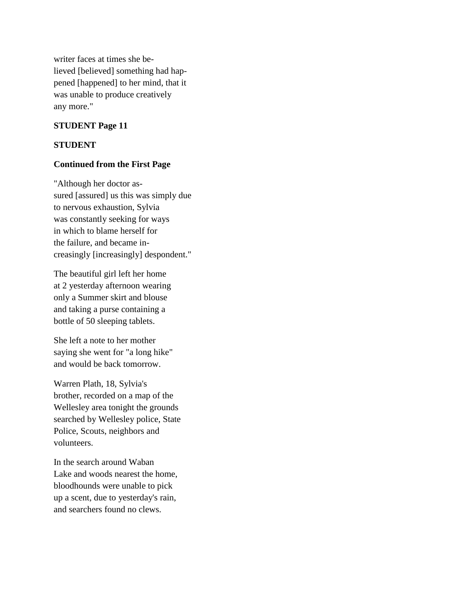writer faces at times she believed [believed] something had happened [happened] to her mind, that it was unable to produce creatively any more."

## **STUDENT Page 11**

## **STUDENT**

## **Continued from the First Page**

"Although her doctor assured [assured] us this was simply due to nervous exhaustion, Sylvia was constantly seeking for ways in which to blame herself for the failure, and became increasingly [increasingly] despondent."

The beautiful girl left her home at 2 yesterday afternoon wearing only a Summer skirt and blouse and taking a purse containing a bottle of 50 sleeping tablets.

She left a note to her mother saying she went for "a long hike" and would be back tomorrow.

Warren Plath, 18, Sylvia's brother, recorded on a map of the Wellesley area tonight the grounds searched by Wellesley police, State Police, Scouts, neighbors and volunteers.

In the search around Waban Lake and woods nearest the home, bloodhounds were unable to pick up a scent, due to yesterday's rain, and searchers found no clews.